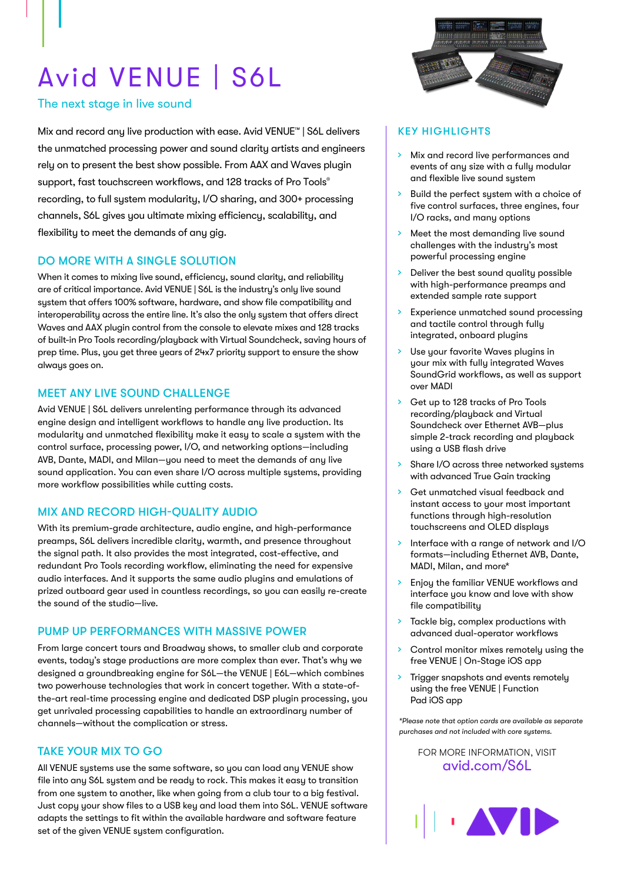# Avid VENUE | S6L

## The next stage in live sound

Mix and record any live production with ease. Avid VENUE™ | S6L delivers the unmatched processing power and sound clarity artists and engineers rely on to present the best show possible. From AAX and Waves plugin support, fast touchscreen workflows, and 128 tracks of Pro Tools® recording, to full system modularity, I/O sharing, and 300+ processing channels, S6L gives you ultimate mixing efficiency, scalability, and flexibility to meet the demands of any gig.

## DO MORE WITH A SINGLE SOLUTION

When it comes to mixing live sound, efficiency, sound clarity, and reliability are of critical importance. Avid VENUE | S6L is the industry's only live sound system that offers 100% software, hardware, and show file compatibility and interoperability across the entire line. It's also the only system that offers direct Waves and AAX plugin control from the console to elevate mixes and 128 tracks of built-in Pro Tools recording/playback with Virtual Soundcheck, saving hours of prep time. Plus, you get three years of 24x7 priority support to ensure the show always goes on.

#### MEET ANY LIVE SOUND CHALLENGE

Avid VENUE | S6L delivers unrelenting performance through its advanced engine design and intelligent workflows to handle any live production. Its modularity and unmatched flexibility make it easy to scale a system with the control surface, processing power, I/O, and networking options—including AVB, Dante, MADI, and Milan—you need to meet the demands of any live sound application. You can even share I/O across multiple systems, providing more workflow possibilities while cutting costs.

#### MIX AND RECORD HIGH-QUALITY AUDIO

With its premium-grade architecture, audio engine, and high-performance preamps, S6L delivers incredible clarity, warmth, and presence throughout the signal path. It also provides the most integrated, cost-effective, and redundant Pro Tools recording workflow, eliminating the need for expensive audio interfaces. And it supports the same audio plugins and emulations of prized outboard gear used in countless recordings, so you can easily re-create the sound of the studio—live.

#### PUMP UP PERFORMANCES WITH MASSIVE POWER

From large concert tours and Broadway shows, to smaller club and corporate events, today's stage productions are more complex than ever. That's why we designed a groundbreaking engine for S6L—the VENUE | E6L—which combines two powerhouse technologies that work in concert together. With a state-ofthe-art real-time processing engine and dedicated DSP plugin processing, you get unrivaled processing capabilities to handle an extraordinary number of channels—without the complication or stress.

#### TAKE YOUR MIX TO GO

All VENUE systems use the same software, so you can load any VENUE show file into any S6L system and be ready to rock. This makes it easy to transition from one system to another, like when going from a club tour to a big festival. Just copy your show files to a USB key and load them into S6L. VENUE software adapts the settings to fit within the available hardware and software feature set of the given VENUE system configuration.



#### KEY HIGHLIGHTS

- > Mix and record live performances and events of any size with a fully modular and flexible live sound system
- Build the perfect system with a choice of five control surfaces, three engines, four I/O racks, and many options
- Meet the most demanding live sound challenges with the industry's most powerful processing engine
- Deliver the best sound quality possible with high-performance preamps and extended sample rate support
- › Experience unmatched sound processing and tactile control through fully integrated, onboard plugins
- Use your favorite Waves plugins in your mix with fully integrated Waves SoundGrid workflows, as well as support over MADI
- › Get up to 128 tracks of Pro Tools recording/playback and Virtual Soundcheck over Ethernet AVB—plus simple 2-track recording and playback using a USB flash drive
- Share I/O across three networked systems with advanced True Gain tracking
- Get unmatched visual feedback and instant access to your most important functions through high-resolution touchscreens and OLED displays
- > Interface with a range of network and I/O formats—including Ethernet AVB, Dante, MADI, Milan, and more\*
- Enjoy the familiar VENUE workflows and interface you know and love with show file compatibility
- Tackle big, complex productions with advanced dual-operator workflows
- Control monitor mixes remotely using the free VENUE | On-Stage iOS app
- Trigger snapshots and events remotely using the free VENUE | Function Pad iOS app

*\*Please note that option cards are available as separate purchases and not included with core systems.*

FOR MORE INFORMATION, VISIT [avid.com/](http://avid.com/S6L)S6L

**I** AVIE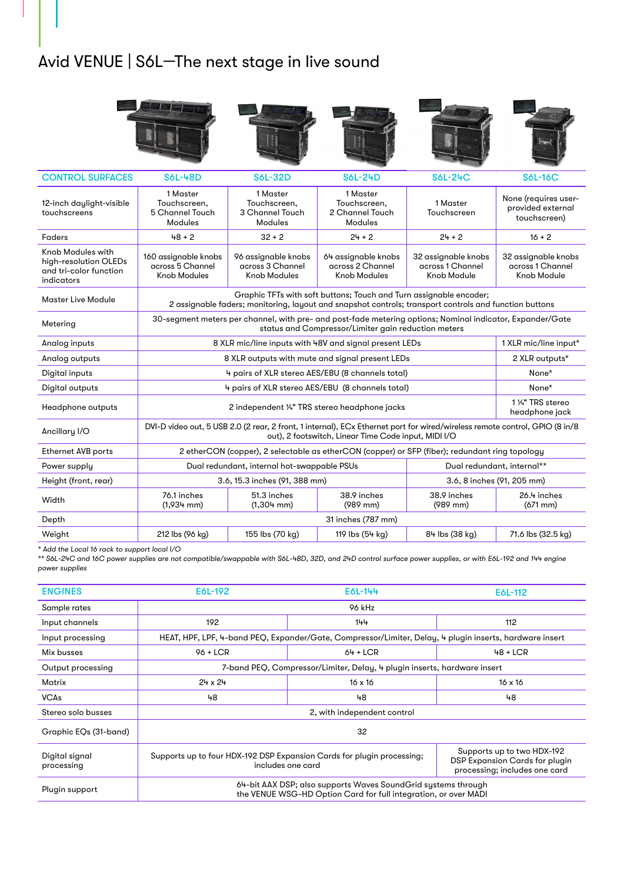# Avid VENUE | S6L—The next stage in live sound



| <b>CONTROL SURFACES</b>                                                            | <b>S6L-48D</b>                                                                                                                                                                      | <b>S6L-32D</b>                                                 | <b>S6L-24D</b>                                          | <b>S6L-24C</b>                                         | <b>S6L-16C</b>                                            |
|------------------------------------------------------------------------------------|-------------------------------------------------------------------------------------------------------------------------------------------------------------------------------------|----------------------------------------------------------------|---------------------------------------------------------|--------------------------------------------------------|-----------------------------------------------------------|
| 12-inch daylight-visible<br>touchscreens                                           | 1 Master<br>Touchscreen,<br>5 Channel Touch<br>Modules                                                                                                                              | 1 Master<br>Touchscreen,<br>3 Channel Touch<br>Modules         | 1 Master<br>Touchscreen.<br>2 Channel Touch<br>Modules  | 1 Master<br>Touchscreen                                | None (requires user-<br>provided external<br>touchscreen) |
| Faders                                                                             | $48 + 2$                                                                                                                                                                            | $32 + 2$                                                       | $24 + 2$                                                | $24 + 2$                                               | $16 + 2$                                                  |
| Knob Modules with<br>high-resolution OLEDs<br>and tri-color function<br>indicators | 160 assignable knobs<br>across 5 Channel<br><b>Knob Modules</b>                                                                                                                     | 96 assignable knobs<br>across 3 Channel<br><b>Knob Modules</b> | 64 assignable knobs<br>across 2 Channel<br>Knob Modules | 32 assignable knobs<br>across 1 Channel<br>Knob Module | 32 assignable knobs<br>across 1 Channel<br>Knob Module    |
| Master Live Module                                                                 | Graphic TFTs with soft buttons; Touch and Turn assignable encoder;<br>2 assignable faders; monitoring, layout and snapshot controls; transport controls and function buttons        |                                                                |                                                         |                                                        |                                                           |
| Metering                                                                           | 30-segment meters per channel, with pre- and post-fade metering options; Nominal indicator, Expander/Gate<br>status and Compressor/Limiter gain reduction meters                    |                                                                |                                                         |                                                        |                                                           |
| Analog inputs                                                                      | 8 XLR mic/line inputs with 48V and signal present LEDs<br>1 XLR mic/line input*                                                                                                     |                                                                |                                                         |                                                        |                                                           |
| Analog outputs                                                                     | 8 XLR outputs with mute and signal present LEDs                                                                                                                                     |                                                                |                                                         |                                                        | 2 XLR outputs*                                            |
| Digital inputs                                                                     | 4 pairs of XLR stereo AES/EBU (8 channels total)<br>None*                                                                                                                           |                                                                |                                                         |                                                        |                                                           |
| Digital outputs                                                                    | None*<br>4 pairs of XLR stereo AES/EBU (8 channels total)                                                                                                                           |                                                                |                                                         |                                                        |                                                           |
| Headphone outputs                                                                  | 1 ¼" TRS stereo<br>2 independent 1/4" TRS stereo headphone jacks<br>headphone jack                                                                                                  |                                                                |                                                         |                                                        |                                                           |
| Ancillary I/O                                                                      | DVI-D video out, 5 USB 2.0 (2 rear, 2 front, 1 internal), ECx Ethernet port for wired/wireless remote control, GPIO (8 in/8<br>out), 2 footswitch, Linear Time Code input, MIDI I/O |                                                                |                                                         |                                                        |                                                           |
| <b>Ethernet AVB ports</b>                                                          | 2 etherCON (copper), 2 selectable as etherCON (copper) or SFP (fiber); redundant ring topology                                                                                      |                                                                |                                                         |                                                        |                                                           |
| Power supply                                                                       | Dual redundant, internal hot-swappable PSUs                                                                                                                                         |                                                                |                                                         | Dual redundant, internal**                             |                                                           |
| Height (front, rear)                                                               | 3.6, 15.3 inches (91, 388 mm)                                                                                                                                                       |                                                                | 3.6, 8 inches (91, 205 mm)                              |                                                        |                                                           |
| Width                                                                              | 76.1 inches<br>$(1,934 \text{ mm})$                                                                                                                                                 | 51.3 inches<br>$(1,304$ mm)                                    | 38.9 inches<br>$(989$ mm)                               | 38.9 inches<br>(989 mm)                                | 26.4 inches<br>$(671 \text{ mm})$                         |
| Depth                                                                              | 31 inches (787 mm)                                                                                                                                                                  |                                                                |                                                         |                                                        |                                                           |
| Weight                                                                             | 212 lbs (96 kg)                                                                                                                                                                     | 155 lbs (70 kg)                                                | 119 lbs (54 kg)                                         | 84 lbs (38 kg)                                         | 71.6 lbs (32.5 kg)                                        |

*\* Add the Local 16 rack to support local I/O*

*\*\* S6L-24C and 16C power supplies are not compatible/swappable with S6L-48D, 32D, and 24D control surface power supplies, or with E6L-192 and 144 engine power supplies*

| <b>ENGINES</b>               | E6L-192                                                                                                                           | E6L-144        | E6L-112                                                                                       |  |  |
|------------------------------|-----------------------------------------------------------------------------------------------------------------------------------|----------------|-----------------------------------------------------------------------------------------------|--|--|
| Sample rates                 | 96 kHz                                                                                                                            |                |                                                                                               |  |  |
| Input channels               | 192<br>144                                                                                                                        |                | 112                                                                                           |  |  |
| Input processing             | HEAT, HPF, LPF, 4-band PEQ, Expander/Gate, Compressor/Limiter, Delay, 4 plugin inserts, hardware insert                           |                |                                                                                               |  |  |
| Mix busses                   | $96 + LCR$                                                                                                                        | $64 + LCR$     | $48 + LCR$                                                                                    |  |  |
| Output processing            | 7-band PEQ, Compressor/Limiter, Delay, 4 plugin inserts, hardware insert                                                          |                |                                                                                               |  |  |
| Matrix                       | 24 x 24                                                                                                                           | $16 \times 16$ | $16 \times 16$                                                                                |  |  |
| <b>VCAs</b>                  | 48                                                                                                                                | 48             | 48                                                                                            |  |  |
| Stereo solo busses           | 2, with independent control                                                                                                       |                |                                                                                               |  |  |
| Graphic EQs (31-band)        | 32                                                                                                                                |                |                                                                                               |  |  |
| Digital signal<br>processing | Supports up to four HDX-192 DSP Expansion Cards for plugin processing;<br>includes one card                                       |                | Supports up to two HDX-192<br>DSP Expansion Cards for plugin<br>processing; includes one card |  |  |
| Plugin support               | 64-bit AAX DSP; also supports Waves Sound Grid systems through<br>the VENUE WSG-HD Option Card for full integration, or over MADI |                |                                                                                               |  |  |